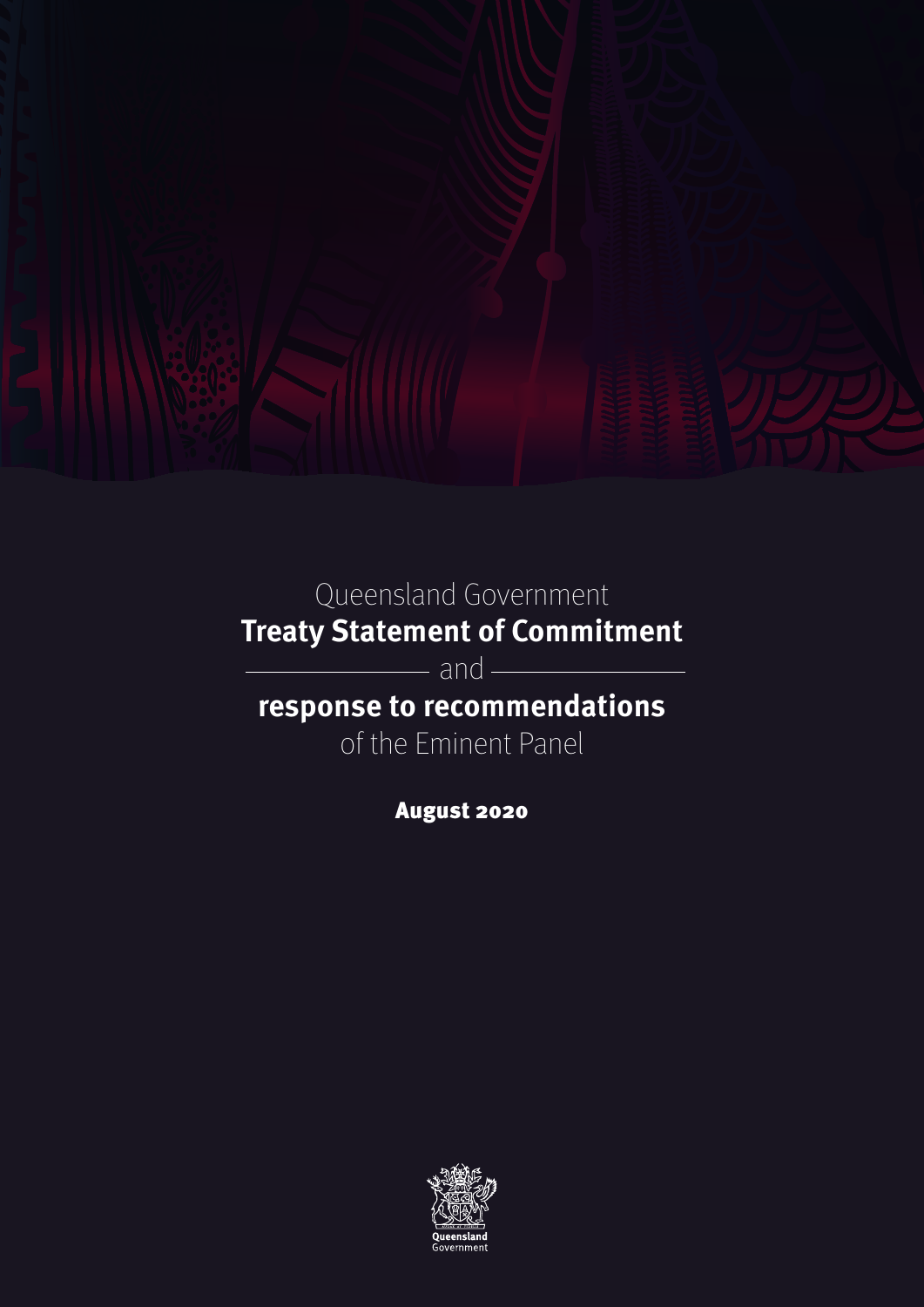

Queensland Government **Treaty Statement of Commitment**

- and -

**response to recommendations**

of the Eminent Panel

August 2020

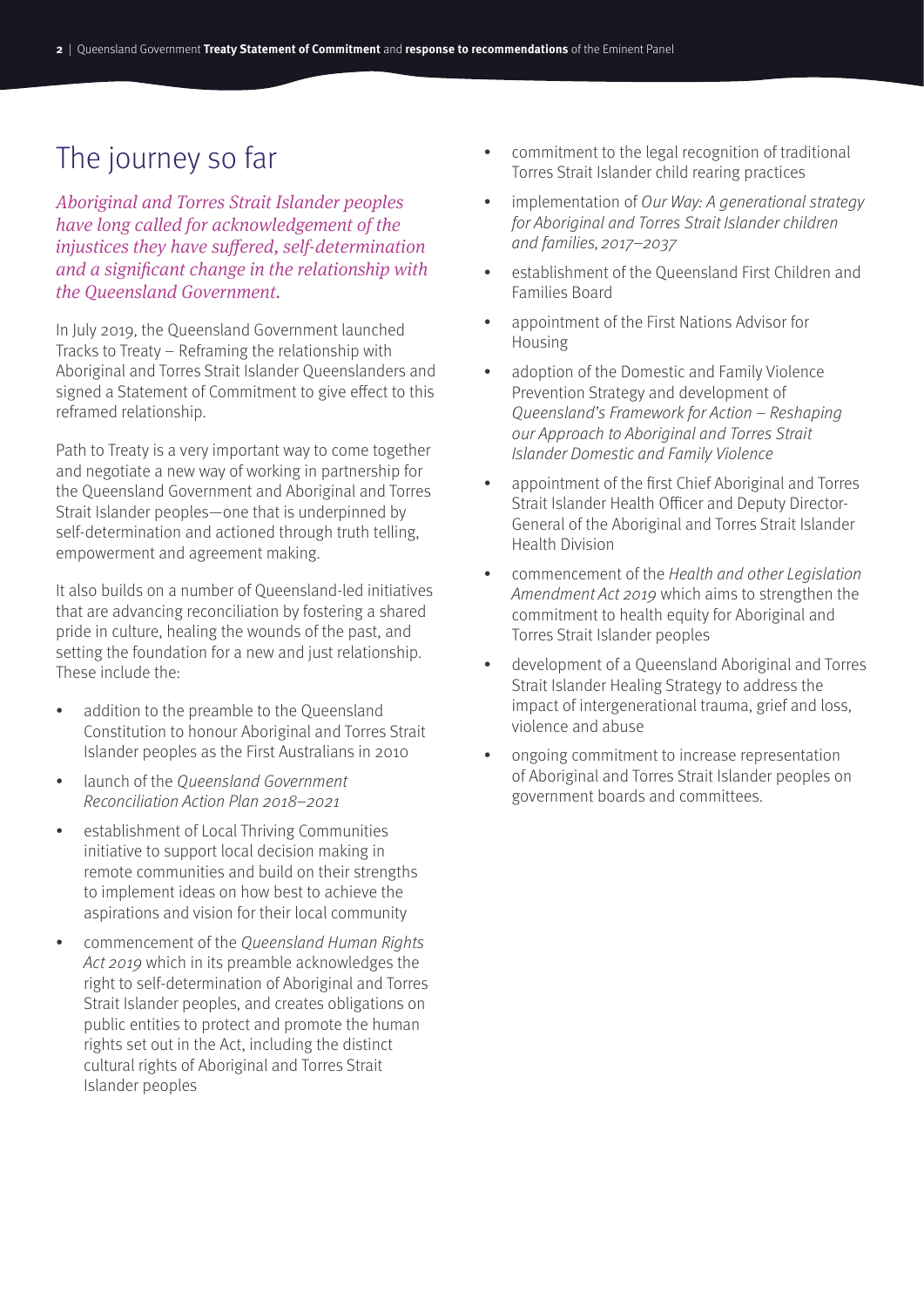# The journey so far

*Aboriginal and Torres Strait Islander peoples have long called for acknowledgement of the injustices they have suffered, self-determination and a significant change in the relationship with the Queensland Government.* 

In July 2019, the Queensland Government launched Tracks to Treaty – Reframing the relationship with Aboriginal and Torres Strait Islander Queenslanders and signed a Statement of Commitment to give effect to this reframed relationship.

Path to Treaty is a very important way to come together and negotiate a new way of working in partnership for the Queensland Government and Aboriginal and Torres Strait Islander peoples—one that is underpinned by self-determination and actioned through truth telling, empowerment and agreement making.

It also builds on a number of Queensland-led initiatives that are advancing reconciliation by fostering a shared pride in culture, healing the wounds of the past, and setting the foundation for a new and just relationship. These include the:

- addition to the preamble to the Queensland Constitution to honour Aboriginal and Torres Strait Islander peoples as the First Australians in 2010
- launch of the Oueensland Government Reconciliation Action Plan 2018–2021
- establishment of Local Thriving Communities initiative to support local decision making in remote communities and build on their strengths to implement ideas on how best to achieve the aspirations and vision for their local community
- commencement of the Queensland Human Rights Act 2019 which in its preamble acknowledges the right to self-determination of Aboriginal and Torres Strait Islander peoples, and creates obligations on public entities to protect and promote the human rights set out in the Act, including the distinct cultural rights of Aboriginal and Torres Strait Islander peoples
- commitment to the legal recognition of traditional Torres Strait Islander child rearing practices
- implementation of Our Way: A generational strategy for Aboriginal and Torres Strait Islander children and families, 2017–2037
- establishment of the Queensland First Children and Families Board
- appointment of the First Nations Advisor for Housing
- adoption of the Domestic and Family Violence Prevention Strategy and development of Queensland's Framework for Action – Reshaping our Approach to Aboriginal and Torres Strait Islander Domestic and Family Violence
- appointment of the first Chief Aboriginal and Torres Strait Islander Health Officer and Deputy Director-General of the Aboriginal and Torres Strait Islander Health Division
- commencement of the Health and other Legislation Amendment Act 2019 which aims to strengthen the commitment to health equity for Aboriginal and Torres Strait Islander peoples
- development of a Queensland Aboriginal and Torres Strait Islander Healing Strategy to address the impact of intergenerational trauma, grief and loss, violence and abuse
- ongoing commitment to increase representation of Aboriginal and Torres Strait Islander peoples on government boards and committees.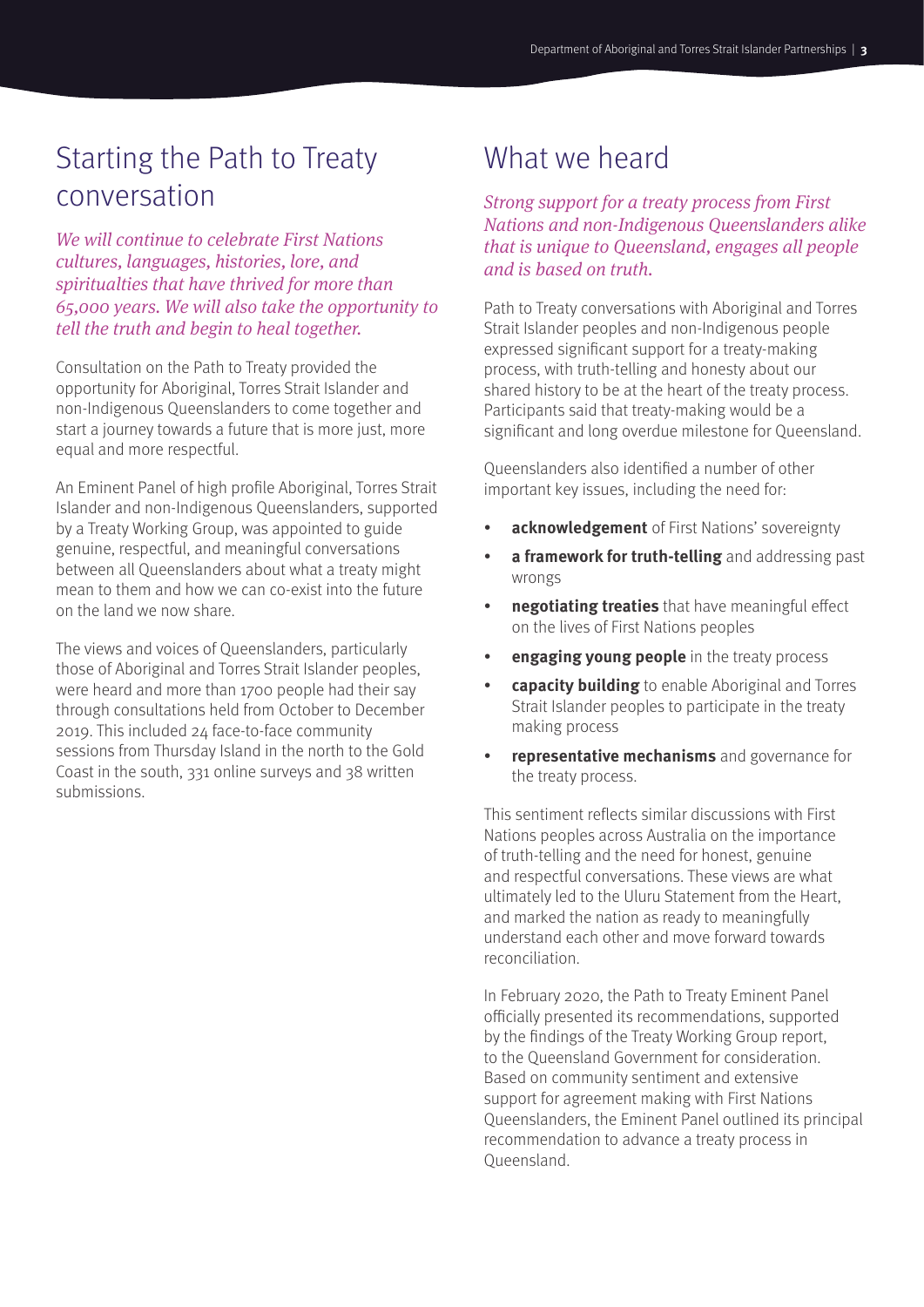# Starting the Path to Treaty conversation

*We will continue to celebrate First Nations cultures, languages, histories, lore, and spiritualties that have thrived for more than 65,000 years. We will also take the opportunity to tell the truth and begin to heal together.*

Consultation on the Path to Treaty provided the opportunity for Aboriginal, Torres Strait Islander and non-Indigenous Queenslanders to come together and start a journey towards a future that is more just, more equal and more respectful.

An Eminent Panel of high profile Aboriginal, Torres Strait Islander and non-Indigenous Queenslanders, supported by a Treaty Working Group, was appointed to guide genuine, respectful, and meaningful conversations between all Queenslanders about what a treaty might mean to them and how we can co-exist into the future on the land we now share.

The views and voices of Queenslanders, particularly those of Aboriginal and Torres Strait Islander peoples, were heard and more than 1700 people had their say through consultations held from October to December 2019. This included 24 face-to-face community sessions from Thursday Island in the north to the Gold Coast in the south, 331 online surveys and 38 written submissions.

# What we heard

*Strong support for a treaty process from First Nations and non-Indigenous Queenslanders alike that is unique to Queensland, engages all people and is based on truth.*

Path to Treaty conversations with Aboriginal and Torres Strait Islander peoples and non-Indigenous people expressed significant support for a treaty-making process, with truth-telling and honesty about our shared history to be at the heart of the treaty process. Participants said that treaty-making would be a significant and long overdue milestone for Queensland.

Queenslanders also identified a number of other important key issues, including the need for:

- **acknowledgement** of First Nations' sovereignty
- **a framework for truth-telling** and addressing past wrongs
- **negotiating treaties** that have meaningful effect on the lives of First Nations peoples
- **engaging young people** in the treaty process
- **capacity building** to enable Aboriginal and Torres Strait Islander peoples to participate in the treaty making process
- **representative mechanisms** and governance for the treaty process.

This sentiment reflects similar discussions with First Nations peoples across Australia on the importance of truth-telling and the need for honest, genuine and respectful conversations. These views are what ultimately led to the Uluru Statement from the Heart, and marked the nation as ready to meaningfully understand each other and move forward towards reconciliation.

In February 2020, the Path to Treaty Eminent Panel officially presented its recommendations, supported by the findings of the Treaty Working Group report, to the Queensland Government for consideration. Based on community sentiment and extensive support for agreement making with First Nations Queenslanders, the Eminent Panel outlined its principal recommendation to advance a treaty process in Queensland.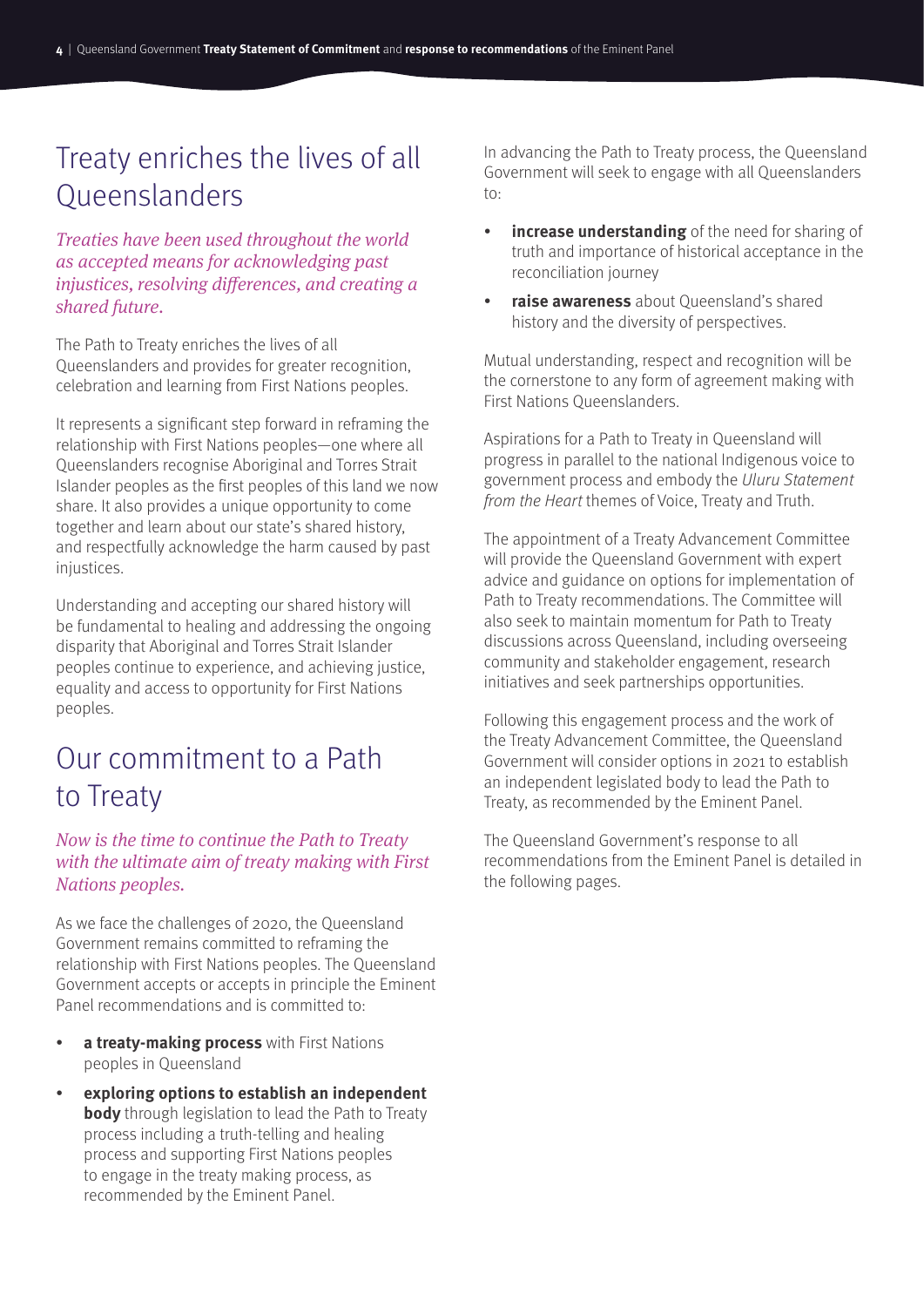# Treaty enriches the lives of all Queenslanders

*Treaties have been used throughout the world as accepted means for acknowledging past injustices, resolving differences, and creating a shared future.*

The Path to Treaty enriches the lives of all Queenslanders and provides for greater recognition, celebration and learning from First Nations peoples.

It represents a significant step forward in reframing the relationship with First Nations peoples—one where all Queenslanders recognise Aboriginal and Torres Strait Islander peoples as the first peoples of this land we now share. It also provides a unique opportunity to come together and learn about our state's shared history, and respectfully acknowledge the harm caused by past injustices.

Understanding and accepting our shared history will be fundamental to healing and addressing the ongoing disparity that Aboriginal and Torres Strait Islander peoples continue to experience, and achieving justice, equality and access to opportunity for First Nations peoples.

# Our commitment to a Path to Treaty

# *Now is the time to continue the Path to Treaty with the ultimate aim of treaty making with First Nations peoples.*

As we face the challenges of 2020, the Queensland Government remains committed to reframing the relationship with First Nations peoples. The Queensland Government accepts or accepts in principle the Eminent Panel recommendations and is committed to:

- **a treaty-making process** with First Nations peoples in Queensland
- **exploring options to establish an independent body** through legislation to lead the Path to Treaty process including a truth-telling and healing process and supporting First Nations peoples to engage in the treaty making process, as recommended by the Eminent Panel.

In advancing the Path to Treaty process, the Queensland Government will seek to engage with all Queenslanders to:

- **increase understanding** of the need for sharing of truth and importance of historical acceptance in the reconciliation journey
- **raise awareness** about Queensland's shared history and the diversity of perspectives.

Mutual understanding, respect and recognition will be the cornerstone to any form of agreement making with First Nations Queenslanders.

Aspirations for a Path to Treaty in Queensland will progress in parallel to the national Indigenous voice to government process and embody the Uluru Statement from the Heart themes of Voice, Treaty and Truth.

The appointment of a Treaty Advancement Committee will provide the Queensland Government with expert advice and guidance on options for implementation of Path to Treaty recommendations. The Committee will also seek to maintain momentum for Path to Treaty discussions across Queensland, including overseeing community and stakeholder engagement, research initiatives and seek partnerships opportunities.

Following this engagement process and the work of the Treaty Advancement Committee, the Queensland Government will consider options in 2021 to establish an independent legislated body to lead the Path to Treaty, as recommended by the Eminent Panel.

The Queensland Government's response to all recommendations from the Eminent Panel is detailed in the following pages.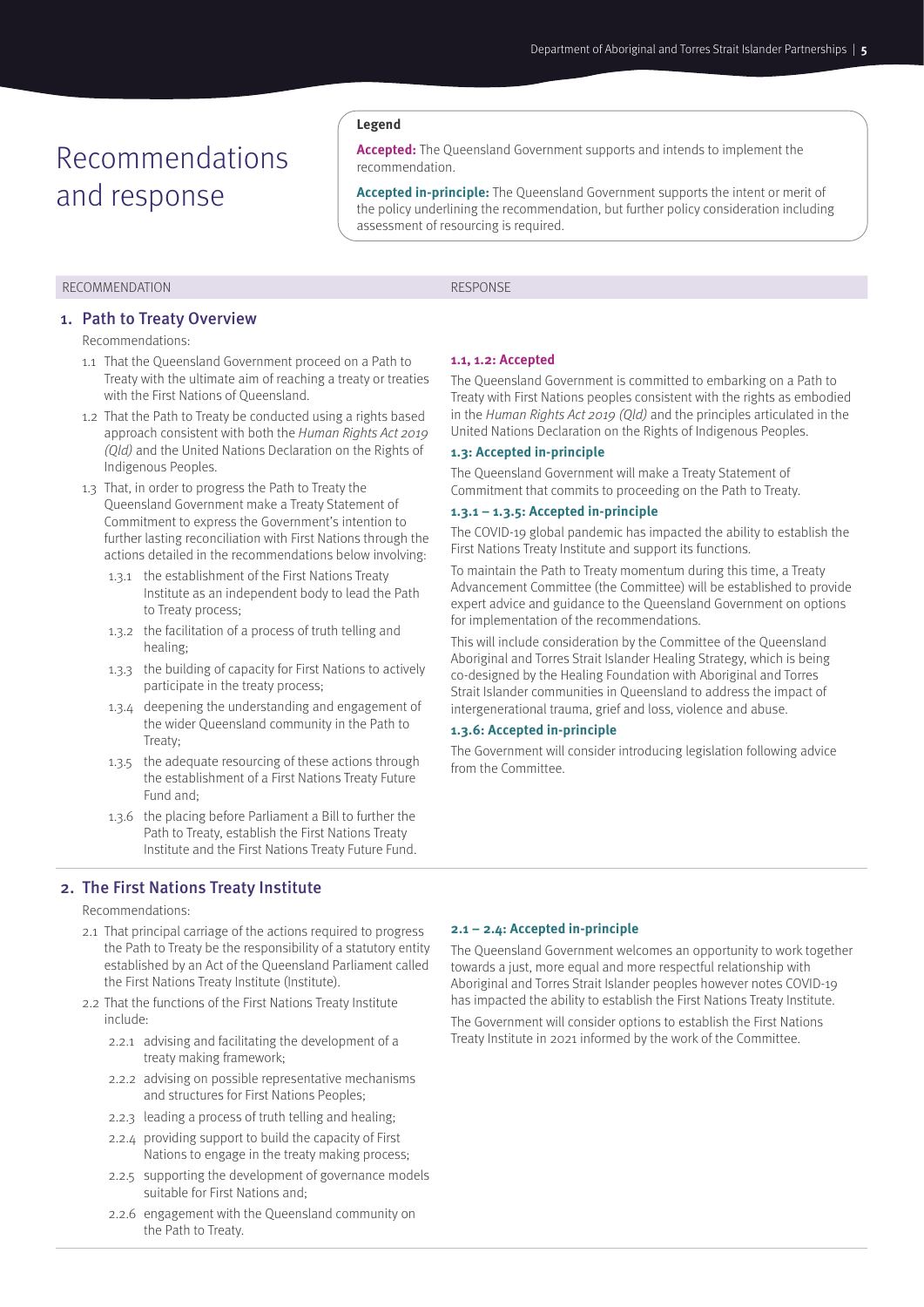# Recommendations and response

#### RECOMMENDATION **RESPONSE**

#### 1. Path to Treaty Overview

Recommendations:

- 1.1 That the Queensland Government proceed on a Path to Treaty with the ultimate aim of reaching a treaty or treaties with the First Nations of Queensland.
- 1.2 That the Path to Treaty be conducted using a rights based approach consistent with both the Human Rights Act 2019 (Qld) and the United Nations Declaration on the Rights of Indigenous Peoples.
- 1.3 That, in order to progress the Path to Treaty the Queensland Government make a Treaty Statement of Commitment to express the Government's intention to further lasting reconciliation with First Nations through the actions detailed in the recommendations below involving:
	- 1.3.1 the establishment of the First Nations Treaty Institute as an independent body to lead the Path to Treaty process;
	- 1.3.2 the facilitation of a process of truth telling and healing;
	- 1.3.3 the building of capacity for First Nations to actively participate in the treaty process;
	- 1.3.4 deepening the understanding and engagement of the wider Queensland community in the Path to Treaty;
	- 1.3.5 the adequate resourcing of these actions through the establishment of a First Nations Treaty Future Fund and;
	- 1.3.6 the placing before Parliament a Bill to further the Path to Treaty, establish the First Nations Treaty Institute and the First Nations Treaty Future Fund.

# 2. The First Nations Treaty Institute

#### Recommendations:

- 2.1 That principal carriage of the actions required to progress the Path to Treaty be the responsibility of a statutory entity established by an Act of the Queensland Parliament called the First Nations Treaty Institute (Institute).
- 2.2 That the functions of the First Nations Treaty Institute include:
	- 2.2.1 advising and facilitating the development of a treaty making framework;
	- 2.2.2 advising on possible representative mechanisms and structures for First Nations Peoples;
	- 2.2.3 leading a process of truth telling and healing;
	- 2.2.4 providing support to build the capacity of First Nations to engage in the treaty making process;
	- 2.2.5 supporting the development of governance models suitable for First Nations and;
	- 2.2.6 engagement with the Queensland community on the Path to Treaty.

#### **1.1, 1.2: Accepted**

The Queensland Government is committed to embarking on a Path to Treaty with First Nations peoples consistent with the rights as embodied in the Human Rights Act 2019 (Qld) and the principles articulated in the United Nations Declaration on the Rights of Indigenous Peoples.

#### **1.3: Accepted in-principle**

The Queensland Government will make a Treaty Statement of Commitment that commits to proceeding on the Path to Treaty.

### **1.3.1 – 1.3.5: Accepted in-principle**

**Accepted:** The Queensland Government supports and intends to implement the

**Accepted in-principle:** The Queensland Government supports the intent or merit of the policy underlining the recommendation, but further policy consideration including

> The COVID-19 global pandemic has impacted the ability to establish the First Nations Treaty Institute and support its functions.

> To maintain the Path to Treaty momentum during this time, a Treaty Advancement Committee (the Committee) will be established to provide expert advice and guidance to the Queensland Government on options for implementation of the recommendations.

This will include consideration by the Committee of the Queensland Aboriginal and Torres Strait Islander Healing Strategy, which is being co-designed by the Healing Foundation with Aboriginal and Torres Strait Islander communities in Queensland to address the impact of intergenerational trauma, grief and loss, violence and abuse.

#### **1.3.6: Accepted in-principle**

The Government will consider introducing legislation following advice from the Committee.

#### **2.1 – 2.4: Accepted in-principle**

The Queensland Government welcomes an opportunity to work together towards a just, more equal and more respectful relationship with Aboriginal and Torres Strait Islander peoples however notes COVID-19 has impacted the ability to establish the First Nations Treaty Institute.

The Government will consider options to establish the First Nations Treaty Institute in 2021 informed by the work of the Committee.

assessment of resourcing is required.

**Legend**

recommendation.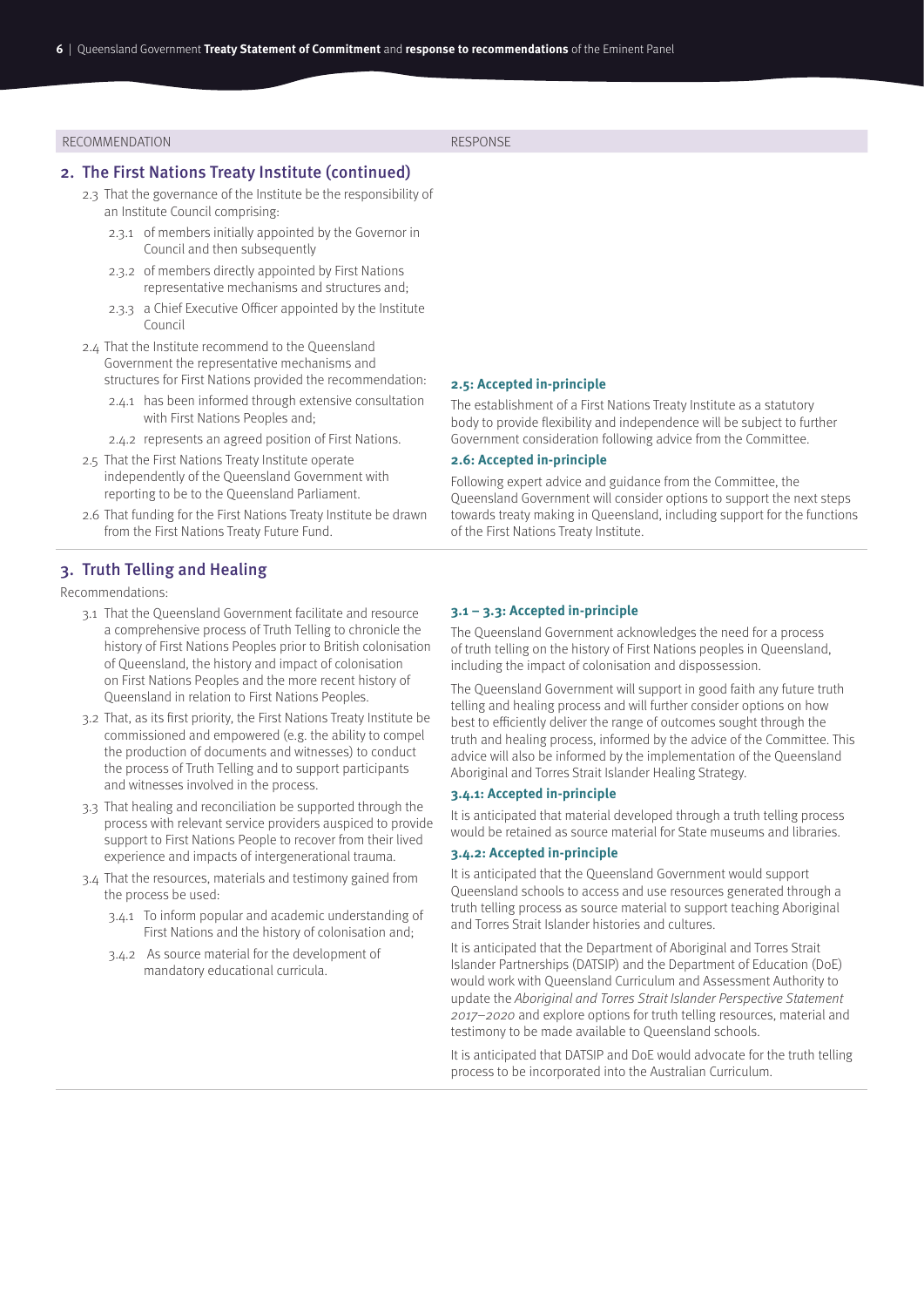#### 2. The First Nations Treaty Institute (continued)

- 2.3 That the governance of the Institute be the responsibility of an Institute Council comprising:
	- 2.3.1 of members initially appointed by the Governor in Council and then subsequently
	- 2.3.2 of members directly appointed by First Nations representative mechanisms and structures and;
	- 2.3.3 a Chief Executive Officer appointed by the Institute Council
- 2.4 That the Institute recommend to the Queensland Government the representative mechanisms and structures for First Nations provided the recommendation:
	- 2.4.1 has been informed through extensive consultation
		- with First Nations Peoples and;
	- 2.4.2 represents an agreed position of First Nations.
- 2.5 That the First Nations Treaty Institute operate independently of the Queensland Government with reporting to be to the Queensland Parliament.
- 2.6 That funding for the First Nations Treaty Institute be drawn from the First Nations Treaty Future Fund.

#### **2.5: Accepted in-principle**

The establishment of a First Nations Treaty Institute as a statutory body to provide flexibility and independence will be subject to further Government consideration following advice from the Committee.

#### **2.6: Accepted in-principle**

Following expert advice and guidance from the Committee, the Queensland Government will consider options to support the next steps towards treaty making in Queensland, including support for the functions of the First Nations Treaty Institute.

# 3. Truth Telling and Healing

Recommendations:

- 3.1 That the Queensland Government facilitate and resource a comprehensive process of Truth Telling to chronicle the history of First Nations Peoples prior to British colonisation of Queensland, the history and impact of colonisation on First Nations Peoples and the more recent history of Queensland in relation to First Nations Peoples.
- 3.2 That, as its first priority, the First Nations Treaty Institute be commissioned and empowered (e.g. the ability to compel the production of documents and witnesses) to conduct the process of Truth Telling and to support participants and witnesses involved in the process.
- 3.3 That healing and reconciliation be supported through the process with relevant service providers auspiced to provide support to First Nations People to recover from their lived experience and impacts of intergenerational trauma.
- 3.4 That the resources, materials and testimony gained from the process be used:
	- 3.4.1 To inform popular and academic understanding of First Nations and the history of colonisation and;
	- 3.4.2 As source material for the development of mandatory educational curricula.

### **3.1 – 3.3: Accepted in-principle**

The Queensland Government acknowledges the need for a process of truth telling on the history of First Nations peoples in Queensland, including the impact of colonisation and dispossession.

The Queensland Government will support in good faith any future truth telling and healing process and will further consider options on how best to efficiently deliver the range of outcomes sought through the truth and healing process, informed by the advice of the Committee. This advice will also be informed by the implementation of the Queensland Aboriginal and Torres Strait Islander Healing Strategy.

#### **3.4.1: Accepted in-principle**

It is anticipated that material developed through a truth telling process would be retained as source material for State museums and libraries.

#### **3.4.2: Accepted in-principle**

It is anticipated that the Queensland Government would support Queensland schools to access and use resources generated through a truth telling process as source material to support teaching Aboriginal and Torres Strait Islander histories and cultures.

It is anticipated that the Department of Aboriginal and Torres Strait Islander Partnerships (DATSIP) and the Department of Education (DoE) would work with Queensland Curriculum and Assessment Authority to update the Aboriginal and Torres Strait Islander Perspective Statement 2017–2020 and explore options for truth telling resources, material and testimony to be made available to Queensland schools.

It is anticipated that DATSIP and DoE would advocate for the truth telling process to be incorporated into the Australian Curriculum.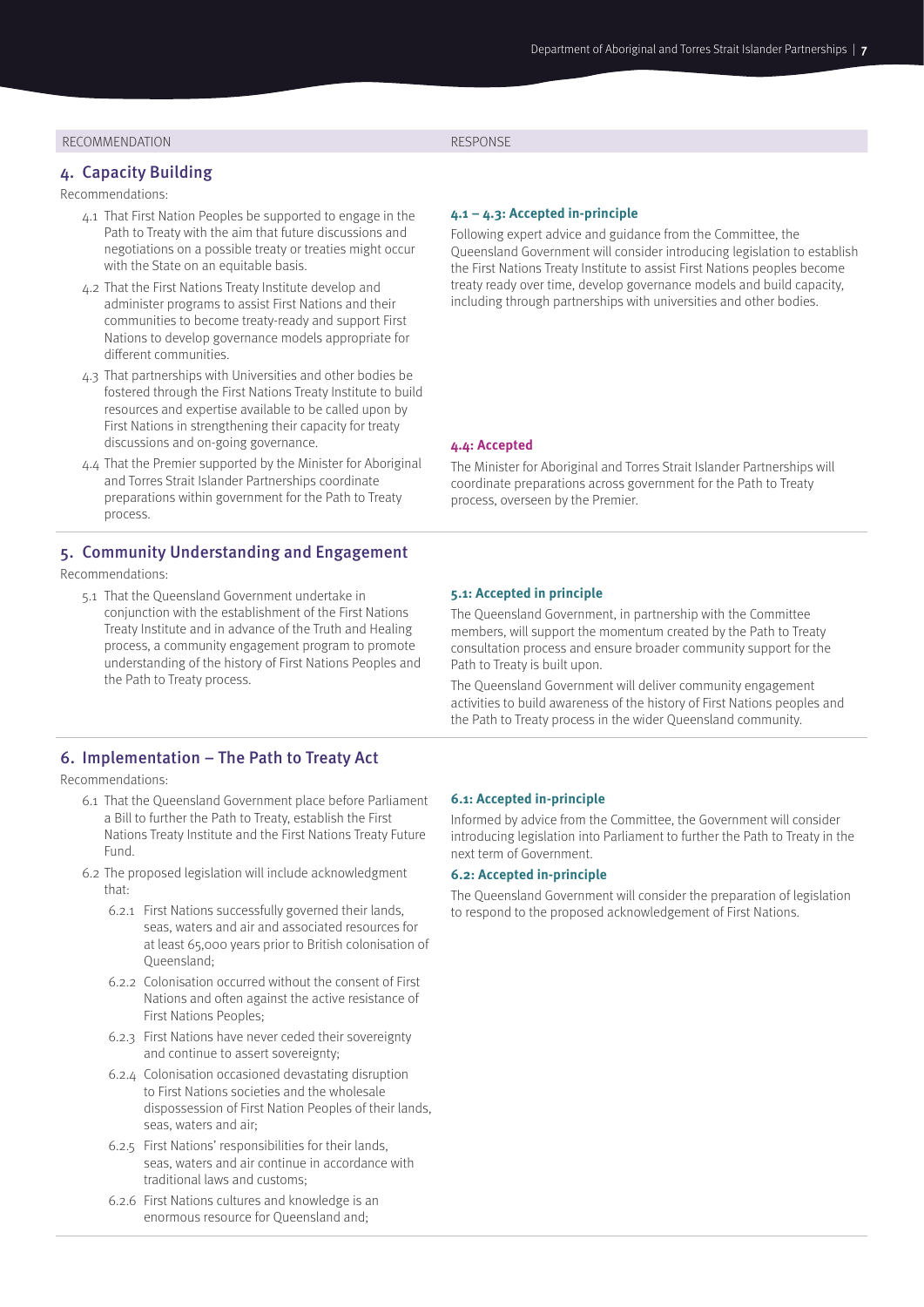### 4. Capacity Building

Recommendations:

- 4.1 That First Nation Peoples be supported to engage in the Path to Treaty with the aim that future discussions and negotiations on a possible treaty or treaties might occur with the State on an equitable basis.
- 4.2 That the First Nations Treaty Institute develop and administer programs to assist First Nations and their communities to become treaty-ready and support First Nations to develop governance models appropriate for different communities.
- 4.3 That partnerships with Universities and other bodies be fostered through the First Nations Treaty Institute to build resources and expertise available to be called upon by First Nations in strengthening their capacity for treaty discussions and on-going governance.
- 4.4 That the Premier supported by the Minister for Aboriginal and Torres Strait Islander Partnerships coordinate preparations within government for the Path to Treaty process.

### 5. Community Understanding and Engagement

Recommendations:

5.1 That the Queensland Government undertake in conjunction with the establishment of the First Nations Treaty Institute and in advance of the Truth and Healing process, a community engagement program to promote understanding of the history of First Nations Peoples and the Path to Treaty process.

### 6. Implementation – The Path to Treaty Act

Recommendations:

- 6.1 That the Queensland Government place before Parliament a Bill to further the Path to Treaty, establish the First Nations Treaty Institute and the First Nations Treaty Future Fund.
- 6.2 The proposed legislation will include acknowledgment that:
	- 6.2.1 First Nations successfully governed their lands, seas, waters and air and associated resources for at least 65,000 years prior to British colonisation of Queensland;
	- 6.2.2 Colonisation occurred without the consent of First Nations and often against the active resistance of First Nations Peoples;
	- 6.2.3 First Nations have never ceded their sovereignty and continue to assert sovereignty;
	- 6.2.4 Colonisation occasioned devastating disruption to First Nations societies and the wholesale dispossession of First Nation Peoples of their lands, seas, waters and air;
	- 6.2.5 First Nations' responsibilities for their lands, seas, waters and air continue in accordance with traditional laws and customs;
	- 6.2.6 First Nations cultures and knowledge is an enormous resource for Queensland and;

### **4.1 – 4.3: Accepted in-principle**

Following expert advice and guidance from the Committee, the Queensland Government will consider introducing legislation to establish the First Nations Treaty Institute to assist First Nations peoples become treaty ready over time, develop governance models and build capacity, including through partnerships with universities and other bodies.

#### **4.4: Accepted**

The Minister for Aboriginal and Torres Strait Islander Partnerships will coordinate preparations across government for the Path to Treaty process, overseen by the Premier.

#### **5.1: Accepted in principle**

The Queensland Government, in partnership with the Committee members, will support the momentum created by the Path to Treaty consultation process and ensure broader community support for the Path to Treaty is built upon.

The Queensland Government will deliver community engagement activities to build awareness of the history of First Nations peoples and the Path to Treaty process in the wider Queensland community.

#### **6.1: Accepted in-principle**

Informed by advice from the Committee, the Government will consider introducing legislation into Parliament to further the Path to Treaty in the next term of Government.

#### **6.2: Accepted in-principle**

The Queensland Government will consider the preparation of legislation to respond to the proposed acknowledgement of First Nations.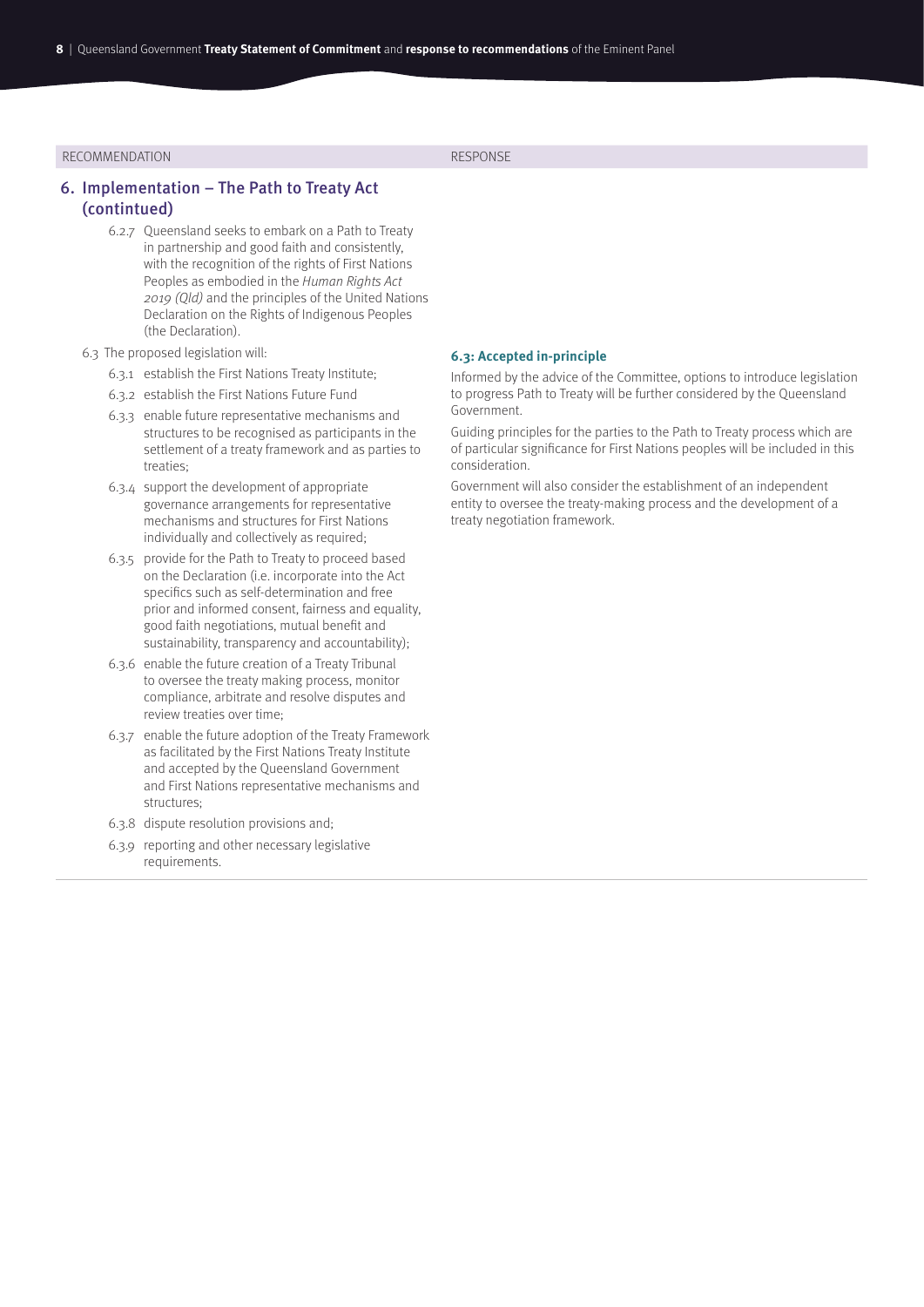### 6. Implementation – The Path to Treaty Act (contintued)

- 6.2.7 Queensland seeks to embark on a Path to Treaty in partnership and good faith and consistently, with the recognition of the rights of First Nations Peoples as embodied in the Human Rights Act 2019 (Qld) and the principles of the United Nations Declaration on the Rights of Indigenous Peoples (the Declaration).
- 6.3 The proposed legislation will:
	- 6.3.1 establish the First Nations Treaty Institute;
	- 6.3.2 establish the First Nations Future Fund
	- 6.3.3 enable future representative mechanisms and structures to be recognised as participants in the settlement of a treaty framework and as parties to treaties;
	- 6.3.4 support the development of appropriate governance arrangements for representative mechanisms and structures for First Nations individually and collectively as required;
	- 6.3.5 provide for the Path to Treaty to proceed based on the Declaration (i.e. incorporate into the Act specifics such as self-determination and free prior and informed consent, fairness and equality, good faith negotiations, mutual benefit and sustainability, transparency and accountability);
	- 6.3.6 enable the future creation of a Treaty Tribunal to oversee the treaty making process, monitor compliance, arbitrate and resolve disputes and review treaties over time;
	- 6.3.7 enable the future adoption of the Treaty Framework as facilitated by the First Nations Treaty Institute and accepted by the Queensland Government and First Nations representative mechanisms and structures;
	- 6.3.8 dispute resolution provisions and;
	- 6.3.9 reporting and other necessary legislative requirements.

#### **6.3: Accepted in-principle**

Informed by the advice of the Committee, options to introduce legislation to progress Path to Treaty will be further considered by the Queensland Government.

Guiding principles for the parties to the Path to Treaty process which are of particular significance for First Nations peoples will be included in this consideration.

Government will also consider the establishment of an independent entity to oversee the treaty-making process and the development of a treaty negotiation framework.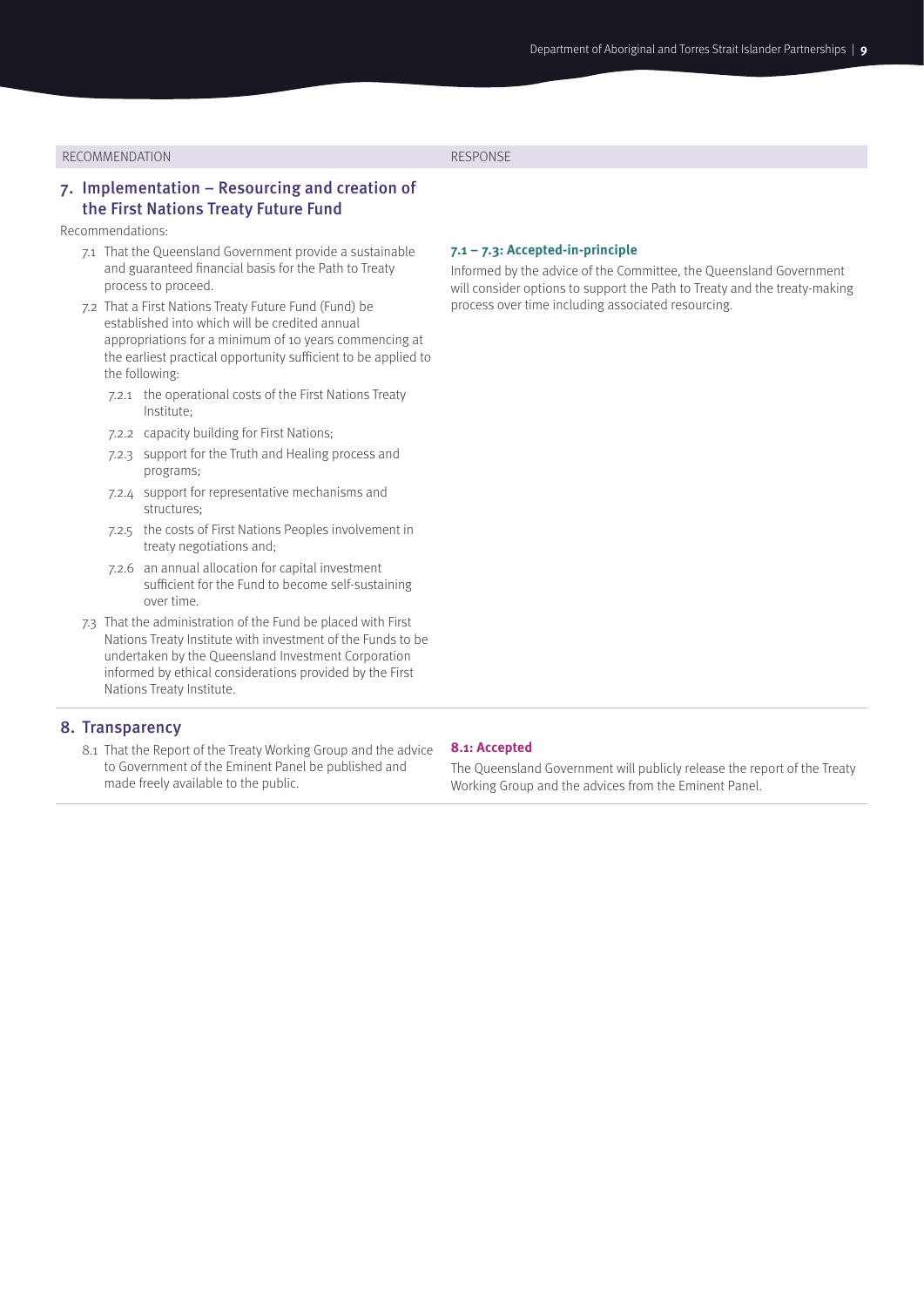# 7. Implementation – Resourcing and creation of the First Nations Treaty Future Fund

#### Recommendations:

- 7.1 That the Queensland Government provide a sustainable and guaranteed financial basis for the Path to Treaty process to proceed.
- 7.2 That a First Nations Treaty Future Fund (Fund) be established into which will be credited annual appropriations for a minimum of 10 years commencing at the earliest practical opportunity sufficient to be applied to the following:
	- 7.2.1 the operational costs of the First Nations Treaty Institute;
	- 7.2.2 capacity building for First Nations;
	- 7.2.3 support for the Truth and Healing process and programs;
	- 7.2.4 support for representative mechanisms and structures;
	- 7.2.5 the costs of First Nations Peoples involvement in treaty negotiations and;
	- 7.2.6 an annual allocation for capital investment sufficient for the Fund to become self-sustaining over time.
- 7.3 That the administration of the Fund be placed with First Nations Treaty Institute with investment of the Funds to be undertaken by the Queensland Investment Corporation informed by ethical considerations provided by the First Nations Treaty Institute.

#### 8. Transparency

8.1 That the Report of the Treaty Working Group and the advice to Government of the Eminent Panel be published and made freely available to the public.

#### **7.1 – 7.3: Accepted-in-principle**

Informed by the advice of the Committee, the Queensland Government will consider options to support the Path to Treaty and the treaty-making process over time including associated resourcing.

#### **8.1: Accepted**

The Queensland Government will publicly release the report of the Treaty Working Group and the advices from the Eminent Panel.